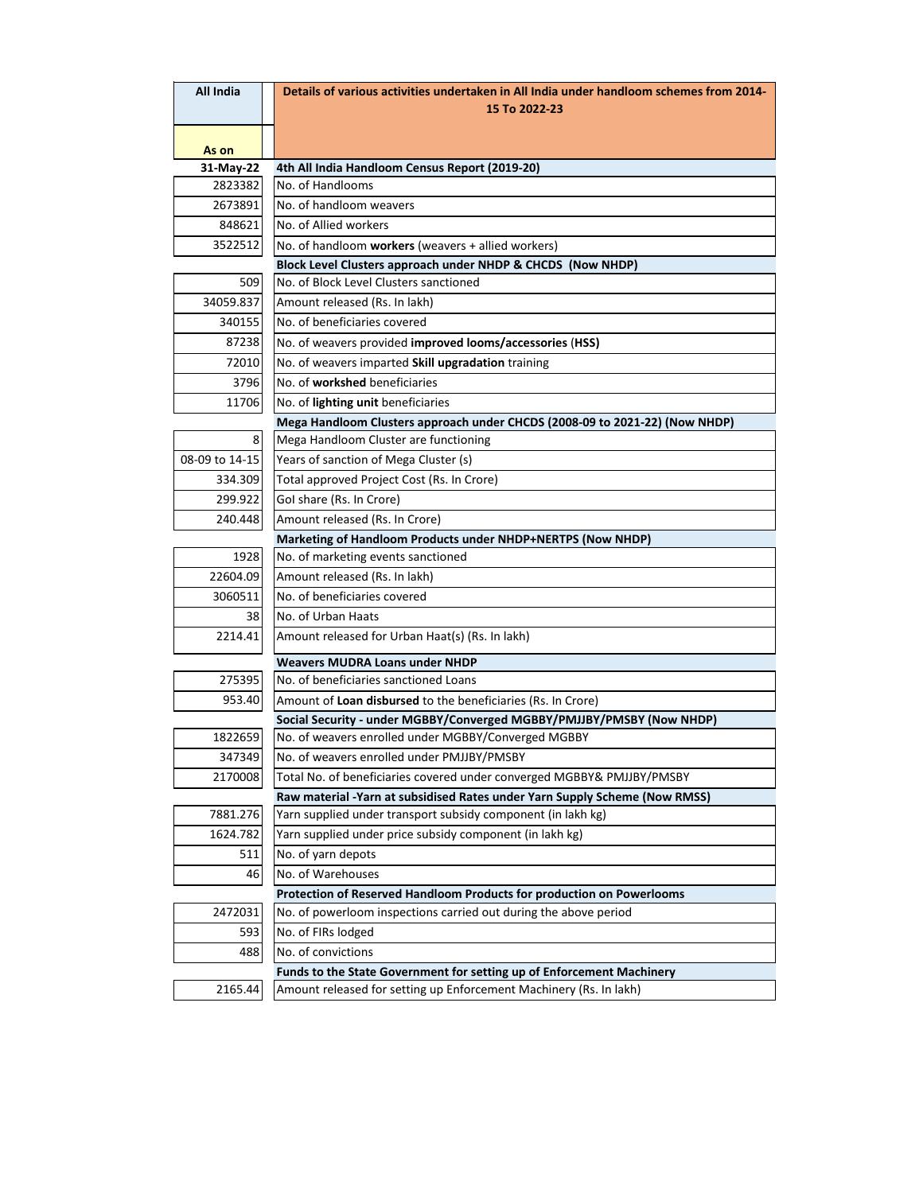| All India      | Details of various activities undertaken in All India under handloom schemes from 2014- |
|----------------|-----------------------------------------------------------------------------------------|
|                | 15 To 2022-23                                                                           |
| As on          |                                                                                         |
| 31-May-22      | 4th All India Handloom Census Report (2019-20)                                          |
| 2823382        | No. of Handlooms                                                                        |
| 2673891        | No. of handloom weavers                                                                 |
| 848621         | No. of Allied workers                                                                   |
| 3522512        | No. of handloom workers (weavers + allied workers)                                      |
|                | Block Level Clusters approach under NHDP & CHCDS (Now NHDP)                             |
| 509            | No. of Block Level Clusters sanctioned                                                  |
| 34059.837      | Amount released (Rs. In lakh)                                                           |
| 340155         | No. of beneficiaries covered                                                            |
| 87238          | No. of weavers provided improved looms/accessories (HSS)                                |
| 72010          | No. of weavers imparted Skill upgradation training                                      |
| 3796           | No. of workshed beneficiaries                                                           |
| 11706          | No. of lighting unit beneficiaries                                                      |
|                | Mega Handloom Clusters approach under CHCDS (2008-09 to 2021-22) (Now NHDP)             |
| 8              | Mega Handloom Cluster are functioning                                                   |
| 08-09 to 14-15 | Years of sanction of Mega Cluster (s)                                                   |
| 334.309        | Total approved Project Cost (Rs. In Crore)                                              |
| 299.922        | Gol share (Rs. In Crore)                                                                |
| 240.448        | Amount released (Rs. In Crore)                                                          |
|                | Marketing of Handloom Products under NHDP+NERTPS (Now NHDP)                             |
| 1928           | No. of marketing events sanctioned                                                      |
| 22604.09       | Amount released (Rs. In lakh)                                                           |
| 3060511        | No. of beneficiaries covered                                                            |
| 38             | No. of Urban Haats                                                                      |
| 2214.41        | Amount released for Urban Haat(s) (Rs. In lakh)                                         |
|                | <b>Weavers MUDRA Loans under NHDP</b>                                                   |
| 275395         | No. of beneficiaries sanctioned Loans                                                   |
| 953.40         | Amount of Loan disbursed to the beneficiaries (Rs. In Crore)                            |
|                | Social Security - under MGBBY/Converged MGBBY/PMJJBY/PMSBY (Now NHDP)                   |
| 1822659        | No. of weavers enrolled under MGBBY/Converged MGBBY                                     |
| 347349         | No. of weavers enrolled under PMJJBY/PMSBY                                              |
| 2170008        | Total No. of beneficiaries covered under converged MGBBY& PMJJBY/PMSBY                  |
|                | Raw material -Yarn at subsidised Rates under Yarn Supply Scheme (Now RMSS)              |
| 7881.276       | Yarn supplied under transport subsidy component (in lakh kg)                            |
| 1624.782       | Yarn supplied under price subsidy component (in lakh kg)                                |
| 511            | No. of yarn depots                                                                      |
| 46             | No. of Warehouses                                                                       |
|                | Protection of Reserved Handloom Products for production on Powerlooms                   |
| 2472031        | No. of powerloom inspections carried out during the above period                        |
| 593            | No. of FIRs lodged                                                                      |
| 488            | No. of convictions                                                                      |
|                | Funds to the State Government for setting up of Enforcement Machinery                   |
| 2165.44        | Amount released for setting up Enforcement Machinery (Rs. In lakh)                      |